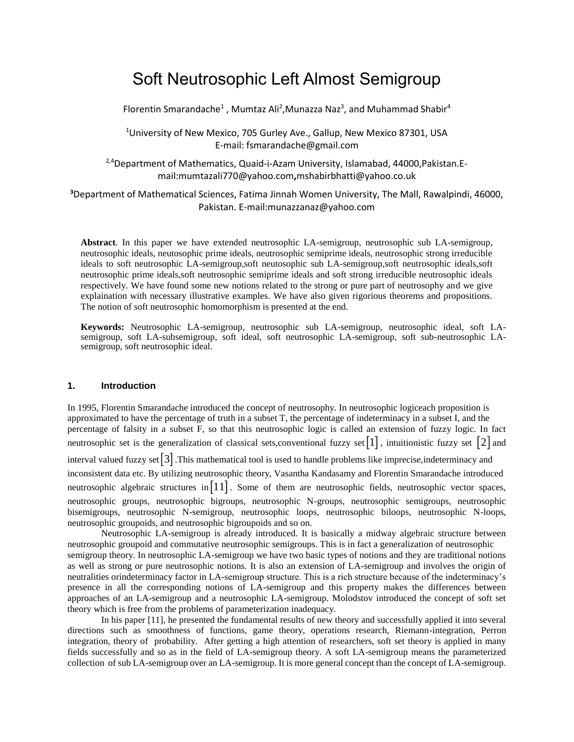# Soft Neutrosophic Left Almost Semigroup

Florentin Smarandache<sup>1</sup>, Mumtaz Ali<sup>2</sup>, Munazza Naz<sup>3</sup>, and Muhammad Shabir<sup>4</sup>

<sup>1</sup>University of New Mexico, 705 Gurley Ave., Gallup, New Mexico 87301, USA E-mail: fsmarandache@gmail.com

<sup>2,4</sup>Department of Mathematics, Quaid-i-Azam University, Islamabad, 44000, Pakistan. Email:mumtazali770@yahoo.com**,**mshabirbhatti@yahoo.co.uk

**<sup>3</sup>**Department of Mathematical Sciences, Fatima Jinnah Women University, The Mall, Rawalpindi, 46000, Pakistan. E-mail:munazzanaz@yahoo.com

**Abstract**. In this paper we have extended neutrosophic LA-semigroup, neutrosophic sub LA-semigroup, neutrosophic ideals, neutosophic prime ideals, neutrosophic semiprime ideals, neutrosophic strong irreducible ideals to soft neutrosophic LA-semigroup,soft neutosophic sub LA-semigroup,soft neutrosophic ideals,soft neutrosophic prime ideals,soft neutrosophic semiprime ideals and soft strong irreducible neutrosophic ideals respectively. We have found some new notions related to the strong or pure part of neutrosophy and we give explaination with necessary illustrative examples. We have also given rigorious theorems and propositions. The notion of soft neutrosophic homomorphism is presented at the end.

**Keywords:** Neutrosophic LA-semigroup, neutrosophic sub LA-semigroup, neutrosophic ideal, soft LAsemigroup, soft LA-subsemigroup, soft ideal, soft neutrosophic LA-semigroup, soft sub-neutrosophic LAsemigroup, soft neutrosophic ideal.

#### **1. Introduction**

In 1995, Florentin Smarandache introduced the concept of neutrosophy. In neutrosophic logiceach proposition is approximated to have the percentage of truth in a subset T, the percentage of indeterminacy in a subset I, and the percentage of falsity in a subset F, so that this neutrosophic logic is called an extension of fuzzy logic. In fact neutrosophic set is the generalization of classical sets,conventional fuzzy set  $\lceil 1 \rceil$ , intuitionistic fuzzy set  $\lceil 2 \rceil$  and interval valued fuzzy set 3 .This mathematical tool is used to handle problems like imprecise,indeterminacy and inconsistent data etc. By utilizing neutrosophic theory, Vasantha Kandasamy and Florentin Smarandache introduced neutrosophic algebraic structures in  $\lceil 11 \rceil$ . Some of them are neutrosophic fields, neutrosophic vector spaces, neutrosophic groups, neutrosophic bigroups, neutrosophic N-groups, neutrosophic semigroups, neutrosophic bisemigroups, neutrosophic N-semigroup, neutrosophic loops, neutrosophic biloops, neutrosophic N-loops, neutrosophic groupoids, and neutrosophic bigroupoids and so on.

Neutrosophic LA-semigroup is already introduced. It is basically a midway algebraic structure between neutrosophic groupoid and commutative neutrosophic semigroups. This is in fact a generalization of neutrosophic semigroup theory. In neutrosophic LA-semigroup we have two basic types of notions and they are traditional notions as well as strong or pure neutrosophic notions. It is also an extension of LA-semigroup and involves the origin of neutralities orindeterminacy factor in LA-semigroup structure. This is a rich structure because of the indeterminacy's presence in all the corresponding notions of LA-semigroup and this property makes the differences between approaches of an LA-semigroup and a neutrosophic LA-semigroup. Molodstov introduced the concept of soft set theory which is free from the problems of parameterization inadequacy.

In his paper [11], he presented the fundamental results of new theory and successfully applied it into several directions such as smoothness of functions, game theory, operations research, Riemann-integration, Perron integration, theory of probability. After getting a high attention of researchers, soft set theory is applied in many fields successfully and so as in the field of LA-semigroup theory. A soft LA-semigroup means the parameterized collection of sub LA-semigroup over an LA-semigroup. It is more general concept than the concept of LA-semigroup.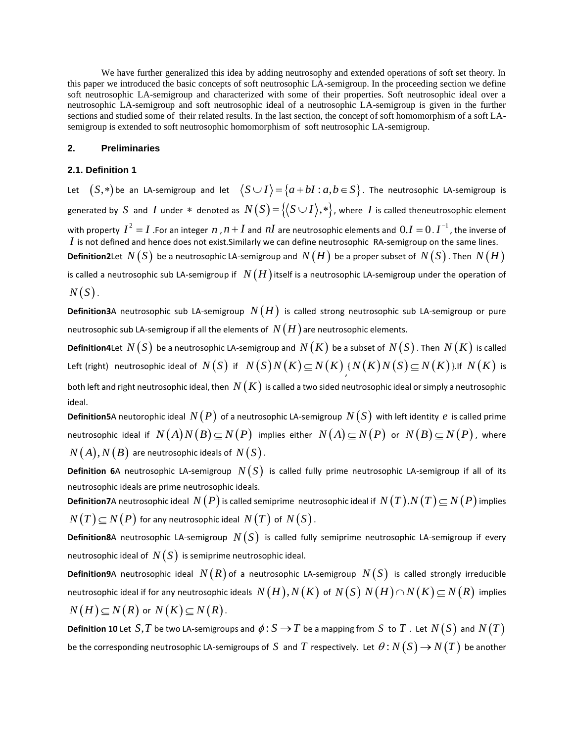We have further generalized this idea by adding neutrosophy and extended operations of soft set theory. In this paper we introduced the basic concepts of soft neutrosophic LA-semigroup. In the proceeding section we define soft neutrosophic LA-semigroup and characterized with some of their properties. Soft neutrosophic ideal over a neutrosophic LA-semigroup and soft neutrosophic ideal of a neutrosophic LA-semigroup is given in the further sections and studied some of their related results. In the last section, the concept of soft homomorphism of a soft LAsemigroup is extended to soft neutrosophic homomorphism of soft neutrosophic LA-semigroup.

#### **2. Preliminaries**

## **2.1. Definition 1**

Let  $(S,*)$  be an LA-semigroup and let  $\left\langle S\cup I\right\rangle\!=\!\{a\!+\!bl: a,b\!\in\! S\}$  . The neutrosophic LA-semigroup is generated by S and I under  $*$  denoted as  $N(S) = \{(S \cup I), *\}$ , where I is called theneutrosophic element with property  $I^2 = I$  .For an integer  $n$  ,  $n + I$  and  $nI$  are neutrosophic elements and  $0.I = 0$  .  $I^{-1}$  , the inverse of *I* is not defined and hence does not exist.Similarly we can define neutrosophic RA-semigroup on the same lines.  $\bm{\mathsf{Definition2}}$ Let  $\ N(S)$  be a neutrosophic LA-semigroup and  $\ N(H)$  be a proper subset of  $\ N(S)$  . Then  $\ N(H)$ 

is called a neutrosophic sub LA-semigroup if  $\;N(H)$  itself is a neutrosophic LA-semigroup under the operation of  $N(S)$ .

**Definition3**A neutrosophic sub LA-semigroup  $N(H)$  is called strong neutrosophic sub LA-semigroup or pure neutrosophic sub LA-semigroup if all the elements of  $\,N(H)\,$ are neutrosophic elements.

**Definition4L**et  $N(S)$  be a neutrosophic LA-semigroup and  $N(K)$  be a subset of  $N(S)$  . Then  $N(K)$  is called Left (right) neutrosophic ideal of  $N(S)$  if  $N(S)N(K)$   $\subseteq$   $N(K)$   $\{N(K)N(S)$   $\subseteq$   $N(K)$  }.If  $N(K)$  is

both left and right neutrosophic ideal, then  $\,N(K)\,$  is called a two sided neutrosophic ideal or simply a neutrosophic ideal.

**Definition5**A neutorophic ideal  $\,N(P)\,$  of a neutrosophic LA-semigroup  $\,N(S)\,$  with left identity  $\,e\,$  is called prime neutrosophic ideal if  $\ N(A)N(B) {\,\subseteq\,} N(P)$  implies either  $\ N(A) {\,\subseteq\,} N(P)$  or  $\ N(B) {\,\subseteq\,} N(P)$  , where  $N(A),N(B)$  are neutrosophic ideals of  $\,N(S)$  .

**Definition 6**A neutrosophic LA-semigroup  $N(S)$  is called fully prime neutrosophic LA-semigroup if all of its neutrosophic ideals are prime neutrosophic ideals.

**Definition7**A neutrosophic ideal  $N(P)$  is called semiprime neutrosophic ideal if  $N(T)$ . $N(T) \subseteq N(P)$  implies  $N(T)\!\subseteq\!N(P)$  for any neutrosophic ideal  $\,N(T)\,$  of  $\,N(S)$  .

**Definition8**A neutrosophic LA-semigroup  $N(S)$  is called fully semiprime neutrosophic LA-semigroup if every neutrosophic ideal of  $\,N\!\left(\,S\right)\,$  is semiprime neutrosophic ideal.

**Definition9**A neutrosophic ideal  $N(R)$  of a neutrosophic LA-semigroup  $N(S)$  is called strongly irreducible neutrosophic ideal if for any neutrosophic ideals  $\ N(H), N(K)$  of  $\ N(S)$   $\ N(H)$   $\cap$   $N(K)$   $\subseteq$   $N(R)$  implies  $N(H) \subseteq N(R)$  or  $N(K) \subseteq N(R)$ .

**Definition 10** Let  $S, T$  be two LA-semigroups and  $\phi: S \to T$  be a mapping from  $S$  to  $T$  . Let  $N(S)$  and  $N(T)$ be the corresponding neutrosophic LA-semigroups of  $S$  and  $T$  respectively. Let  $\theta\colon\! N\big(S\big)\!\rightarrow\! N\big(T\big)$  be another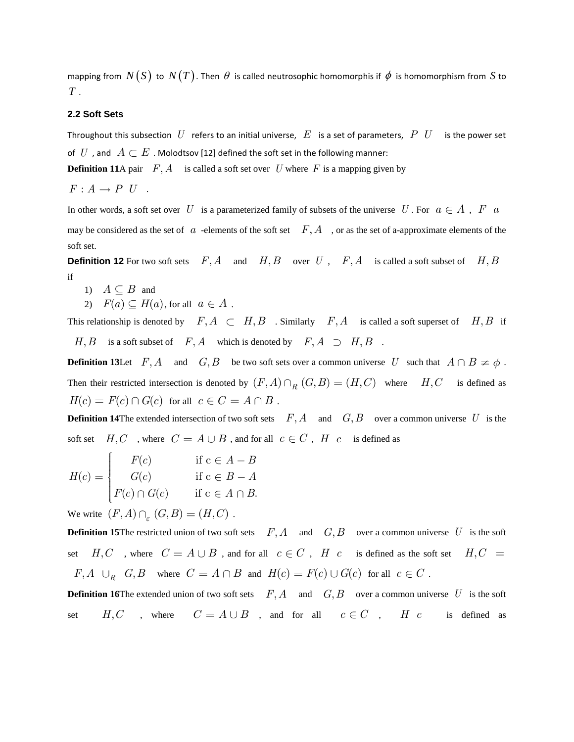mapping from  $N(S)$  to  $N(T)$ . Then  $\theta$  is called neutrosophic homomorphis if  $\phi$  is homomorphism from  $S$  to *T* .

# **2.2 Soft Sets**

Throughout this subsection  $|U|$  refers to an initial universe,  $|E|$  is a set of parameters,  $|P||U|$  is the power set of  $\;U\;$  , and  $\;A\subset E$  . Molodtsov [12] defined the soft set in the following manner:

**Definition 11**A pair  $F, A$  is called a soft set over U where F is a mapping given by

 $F: A \rightarrow P U$ .

In other words, a soft set over U is a parameterized family of subsets of the universe U. For  $a \in A$ , F  $a$ may be considered as the set of  $a$  -elements of the soft set  $F, A$ , or as the set of a-approximate elements of the soft set.

**Definition 12** For two soft sets  $F, A$  and  $H, B$  over  $U$ ,  $F, A$  is called a soft subset of  $H, B$ if

- 1)  $A \subseteq B$  and
- 2)  $F(a) \subseteq H(a)$ , for all  $a \in A$ .

This relationship is denoted by  $F, A \subset H, B$ . Similarly  $F, A$  is called a soft superset of  $H, B$  if  $H, B$  is a soft subset of  $F, A$  which is denoted by  $F, A \supset H, B$ .

**Definition 13** Let  $F, A$  and  $G, B$  be two soft sets over a common universe U such that  $A \cap B \neq \emptyset$ . Then their restricted intersection is denoted by  $(F, A) \cap_R (G, B) = (H, C)$  where  $H, C$  is defined as  $H(c) = F(c) \cap G(c)$  for all  $c \in C = A \cap B$ .

**Definition 14**The extended intersection of two soft sets  $F, A$  and  $G, B$  over a common universe U is the soft set  $H, C$ , where  $C = A \cup B$ , and for all  $c \in C$ ,  $H \cdot c$  is defined as<br>  $\begin{cases} F(c) & \text{if } c \in A - B \end{cases}$ 

$$
H(c) = \begin{cases} F(c) & \text{if } c \in A - B \\ G(c) & \text{if } c \in B - A \\ F(c) \cap G(c) & \text{if } c \in A \cap B. \end{cases}
$$

We write  $(F, A) \cap_{\varepsilon} (G, B) = (H, C)$ .

**Definition 15**The restricted union of two soft sets  $F, A$  and  $G, B$  over a common universe U is the soft set  $H, C$ , where  $C = A \cup B$ , and for all  $c \in C$ ,  $H$   $c$  is defined as the soft set  $H, C$  $F, A \cup_R G, B \text{ where } C = A \cap B \text{ and } H(c) = F(c) \cup G(c) \text{ for all } c \in C.$ 

**Definition 16**The extended union of two soft sets  $F, A$  and  $G, B$  over a common universe U is the soft set  $H, C$ , where  $C = A \cup B$ , and for all  $c \in C$ , *H c* is defined as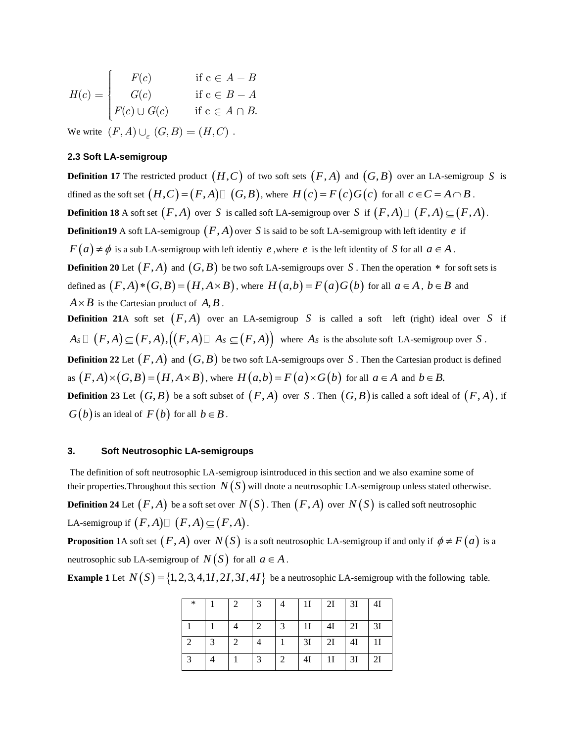$$
H(c) = \begin{cases} F(c) & \text{if } c \in A - B \\ G(c) & \text{if } c \in B - A \\ F(c) \cup G(c) & \text{if } c \in A \cap B. \end{cases}
$$

We write  $(F, A) \cup_{\varepsilon} (G, B) = (H, C)$ .

# **2.3 Soft LA-semigroup**

**Definition 17** The restricted product  $(H, C)$  of two soft sets  $(F, A)$  and  $(G, B)$  over an LA-semigroup S is dfined as the soft set  $(H, C) = (F, A) \square (G, B)$ , where  $H(c) = F(c)G(c)$  for all  $c \in C = A \cap B$ . **Definition 18** A soft set  $(F, A)$  over S is called soft LA-semigroup over S if  $(F, A) \square (F, A) \subseteq (F, A)$ . **Definition19** A soft LA-semigroup  $(F, A)$  over S is said to be soft LA-semigroup with left identity e if  $F(a) \neq \phi$  is a sub LA-semigroup with left identiy e, where e is the left identity of S for all  $a \in A$ . **Definition 20** Let  $(F, A)$  and  $(G, B)$  be two soft LA-semigroups over S. Then the operation  $*$  for soft sets is defined as  $(F, A) * (G, B) = (H, A \times B)$ , where  $H(a,b) = F(a)G(b)$  for all  $a \in A$ ,  $b \in B$  and  $A \times B$  is the Cartesian product of  $A, B$ . **Definition 21**A soft set  $(F, A)$  over an LA-semigroup S is called a soft left (right) ideal over S if **Definition 21**A soft set  $(F, A)$  over an LA-semigroup S is called a soft left (right) ideal over  $A_S \square (F, A) \subseteq (F, A), ((F, A) \square A_S \subseteq (F, A))$  where  $A_S$  is the absolute soft LA-semigroup over S. **Definition 22** Let  $(F, A)$  and  $(G, B)$  be two soft LA-semigroups over S. Then the Cartesian product is defined as  $(F,A)\times (G,B)=(H,A\times B)$ , where  $H(a,b)=F(a)\times G(b)$  for all  $a\in A$  and  $b\in B$ . **Definition 23** Let  $(G, B)$  be a soft subset of  $(F, A)$  over  $S$  . Then  $(G, B)$  is called a soft ideal of  $(F, A)$ , if

 $G(b)$  is an ideal of  $F(b)$  for all  $b \in B$ .

#### **3. Soft Neutrosophic LA-semigroups**

The definition of soft neutrosophic LA-semigroup isintroduced in this section and we also examine some of their properties.Throughout this section  $N(S)$  will dnote a neutrosophic LA-semigroup unless stated otherwise. **Definition 24** Let  $(F, A)$  be a soft set over  $N(S)$ . Then  $(F, A)$  over  $N(S)$  is called soft neutrosophic LA-semigroup if  $(F, A) \square (F, A) \subseteq (F, A)$ .

**Proposition 1**A soft set  $(F, A)$  over  $N(S)$  is a soft neutrosophic LA-semigroup if and only if  $\phi \neq F(a)$  is a neutrosophic sub LA-semigroup of  $N(S)$  for all  $a \in A$ .

**Example 1** Let  $N(S) = \{1, 2, 3, 4, 11, 21, 31, 41\}$  be a neutrosophic LA-semigroup with the following table.

| $\ast$ |   | 2 | 3 | 4             | 11             | 2I             | 3I | 4I             |
|--------|---|---|---|---------------|----------------|----------------|----|----------------|
|        |   |   | 2 | $\mathcal{E}$ | 1 <sup>I</sup> | 4I             | 2I | 3I             |
|        | 3 | 2 |   |               | 3I             | 2I             | 4I | 1 <sub>I</sub> |
| 3      |   |   | 3 | 2             | 4Ι             | 1 <sub>I</sub> | 3I | 2I             |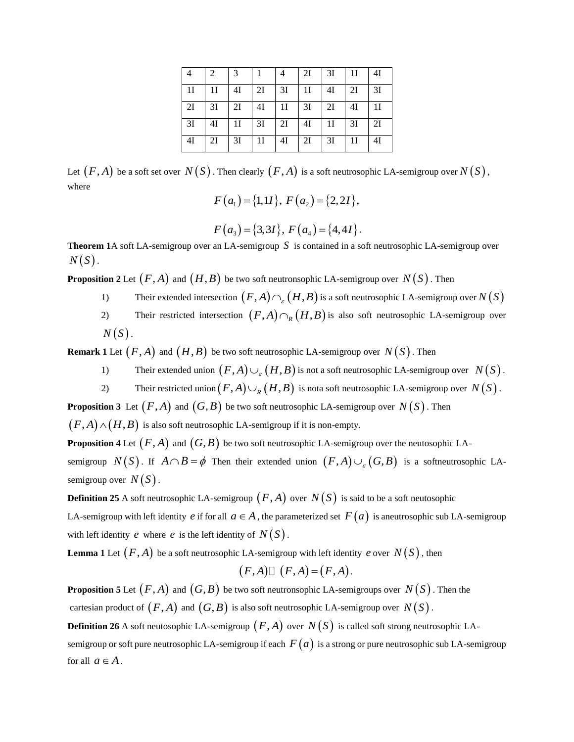|    |    |    |    |    | 2I | 3I             | 1 <sub>I</sub> | 4I             |
|----|----|----|----|----|----|----------------|----------------|----------------|
| 11 | 11 | 41 | 2I | 3I | 11 | 4Ι             | 2I             | 3I             |
| 2I | 3I | 2I | 4I | 11 | 3I | 2I             | 4I             | 1 <sub>I</sub> |
| 3I | 4I | 11 | 3I | 2I | 4I | 1 <sup>I</sup> | 3I             | 2I             |
| 41 | 2Ι | 3I | 11 | 4I | 2I | 3I             | 11             | 4I             |

Let  $(F,A)$  be a soft set over  $\,N(S)$  . Then clearly  $(F,A)$  is a soft neutrosophic LA-semigroup over  $N(S)$  , where

$$
F(a_1) = \{1, 11\}, F(a_2) = \{2, 21\},
$$

$$
F(a_3) = \{3,31\}, F(a_4) = \{4,41\}.
$$

**Theorem 1**A soft LA-semigroup over an LA-semigroup *S* is contained in a soft neutrosophic LA-semigroup over  $N(S)$ .

**Proposition 2** Let  $(F,A)$  and  $(H,B)$  be two soft neutronsophic LA-semigroup over  $N(S)$  . Then

- 1) Their extended intersection  $(F, A) \cap_{\varepsilon} (H, B)$  is a soft neutrosophic LA-semigroup over  $N(S)$
- 2) Their restricted intersection  $(F, A) \cap_R (H, B)$  is also soft neutrosophic LA-semigroup over  $N(S)$ .

**Remark 1** Let  $(F, A)$  and  $(H, B)$  be two soft neutrosophic LA-semigroup over  $N(S)$  . Then

- 1) Their extended union  $(F, A) \cup_{g} (H, B)$  is not a soft neutrosophic LA-semigroup over  $N(S)$ .
- 2) Their restricted union  $(F, A) \cup_R (H, B)$  is nota soft neutrosophic LA-semigroup over  $N(S)$  .

**Proposition 3** Let  $(F,A)$  and  $(G,B)$  be two soft neutrosophic LA-semigroup over  $N(S)$  . Then

 $(F, A) \wedge (H, B)$  is also soft neutrosophic LA-semigroup if it is non-empty.

**Proposition 4** Let  $(F,A)$  and  $(G,B)$  be two soft neutrosophic LA-semigroup over the neutosophic LA-

semigroup  $N(S)$ . If  $A \cap B = \phi$  Then their extended union  $(F, A) \cup_{g} (G, B)$  is a softneutrosophic LAsemigroup over  $N(S)$ .

**Definition 25** A soft neutrosophic LA-semigroup  $(F, A)$  over  $N(S)$  is said to be a soft neutosophic

LA-semigroup with left identity  $e$  if for all  $a \in A$ , the parameterized set  $F(a)$  is aneutrosophic sub LA-semigroup with left identity  $e$  where  $e$  is the left identity of  $N(S)$ .

**Lemma 1** Let  $(F, A)$  be a soft neutrosophic LA-semigroup with left identity  $e$  over  $N(S)$ , then

$$
(F,A)\square (F,A)=(F,A).
$$

**Proposition 5** Let  $(F,A)$  and  $(G,B)$  be two soft neutronsophic LA-semigroups over  $N(S)$  . Then the cartesian product of  $(F,A)$  and  $(G,B)$  is also soft neutrosophic LA-semigroup over  $N(S)$  .

 $\bf{Definition~26}$  A soft neutosophic LA-semigroup  $\big(F,A\big)$  over  $N(S)$  is called soft strong neutrosophic LAsemigroup or soft pure neutrosophic LA-semigroup if each  $\,F(a)\,$  is a strong or pure neutrosophic sub LA-semigroup for all  $a \in A$ .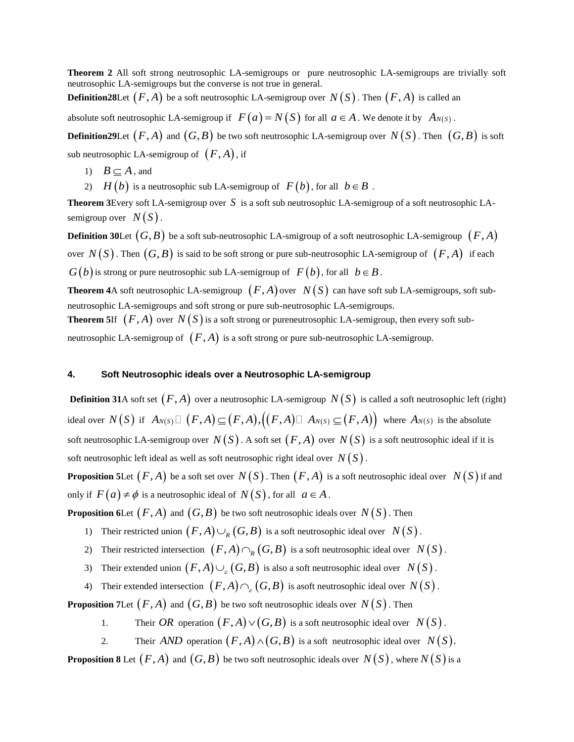**Theorem 2** All soft strong neutrosophic LA-semigroups or pure neutrosophic LA-semigroups are trivially soft neutrosophic LA-semigroups but the converse is not true in general.

**Definition28**Let  $(F,A)$  be a soft neutrosophic LA-semigroup over  $N(S)$  . Then  $(F,A)$  is called an

absolute soft neutrosophic LA-semigroup if  $F(a) = N(S)$  for all  $a \in A$ . We denote it by  $A_{N(S)}$ .

 ${\bf Definition29}$ Let  $\big(F,A\big)$  and  $\big(G,B\big)$  be two soft neutrosophic LA-semigroup over  $\,N\big(S\big)$  . Then  $\,\big(G,B\big)$  is soft sub neutrosophic LA-semigroup of  $(F, A)$ , if

- 1)  $B \subseteq A$ , and
- 2)  $H(b)$  is a neutrosophic sub LA-semigroup of  $F(b)$ , for all  $b \in B$ .

Theorem 3Every soft LA-semigroup over S is a soft sub neutrosophic LA-semigroup of a soft neutrosophic LAsemigroup over  $N(S)$ .

**Definition 30**Let  $(G, B)$  be a soft sub-neutrosophic LA-smigroup of a soft neutrosophic LA-semigroup  $\, (F, A)$ over  $N\big(S\big)$  . Then  $\big(G, B\big)$  is said to be soft strong or pure sub-neutrosophic LA-semigroup of  $\big(F, A\big)$  if each  $G(b)$  is strong or pure neutrosophic sub LA-semigroup of  $F(b)$ , for all  $b \in B$ .

**Theorem 4**A soft neutrosophic LA-semigroup  $(F, A)$  over  $N(S)$  can have soft sub LA-semigroups, soft subneutrosophic LA-semigroups and soft strong or pure sub-neutrosophic LA-semigroups.

**Theorem 5**If  $(F,A)$  over  $N(S)$  is a soft strong or pureneutrosophic LA-semigroup, then every soft subneutrosophic LA-semigroup of  $(F, A)$  is a soft strong or pure sub-neutrosophic LA-semigroup.

## **4. Soft Neutrosophic ideals over a Neutrosophic LA-semigroup**

**Definition 31**A soft set  $(F, A)$  over a neutrosophic LA-semigroup  $N(S)$  is called a soft neutrosophic left (right) **Definition 31**A soft set  $(F, A)$  over a neutrosophic LA-semigroup  $N(S)$  is called a soft neutrosophic left (rigular) is the absolute ideal over  $N(S)$  if  $A_{N(S)} \square (F, A) \subseteq (F, A), ((F, A) \square A_{N(S)} \subseteq (F, A))$  where  $A_{N(S)}$  is the absolu soft neutrosophic LA-semigroup over  $N(S)$  . A soft set  $(F,A)$  over  $N(S)$  is a soft neutrosophic ideal if it is soft neutrosophic left ideal as well as soft neutrosophic right ideal over  $\,N\big(S\big)$  .

**Proposition 5Let**  $(F, A)$  be a soft set over  $N(S)$ . Then  $(F, A)$  is a soft neutrosophic ideal over  $N(S)$  if and only if  $F(a) \neq \phi$  is a neutrosophic ideal of  $N(S)$ , for all  $a \in A$ .

**Proposition 6Let**  $(F,A)$  and  $(G,B)$  be two soft neutrosophic ideals over  $N(S)$  . Then

- 1) Their restricted union  $(F, A) \cup_R (G, B)$  is a soft neutrosophic ideal over  $N(S)$ .
- 2) Their restricted intersection  $(F, A) \cap_R (G, B)$  is a soft neutrosophic ideal over  $N(S)$ .
- 3) Their extended union  $(F, A) \cup_{g} (G, B)$  is also a soft neutrosophic ideal over  $N(S)$ .
- 4) Their extended intersection  $(F, A) \cap_{\varepsilon} (G, B)$  is asoft neutrosophic ideal over  $N(S)$ .

**Proposition 7Let**  $(F,A)$  and  $(G,B)$  be two soft neutrosophic ideals over  $N(S)$  . Then

- 1. Their OR operation  $(F, A) \vee (G, B)$  is a soft neutrosophic ideal over  $N(S)$ .
- 2. Their *AND* operation  $(F, A) \wedge (G, B)$  is a soft neutrosophic ideal over  $N(S)$ .

**Proposition 8** Let  $(F, A)$  and  $(G, B)$  be two soft neutrosophic ideals over  $N(S)$  , where  $N(S)$  is a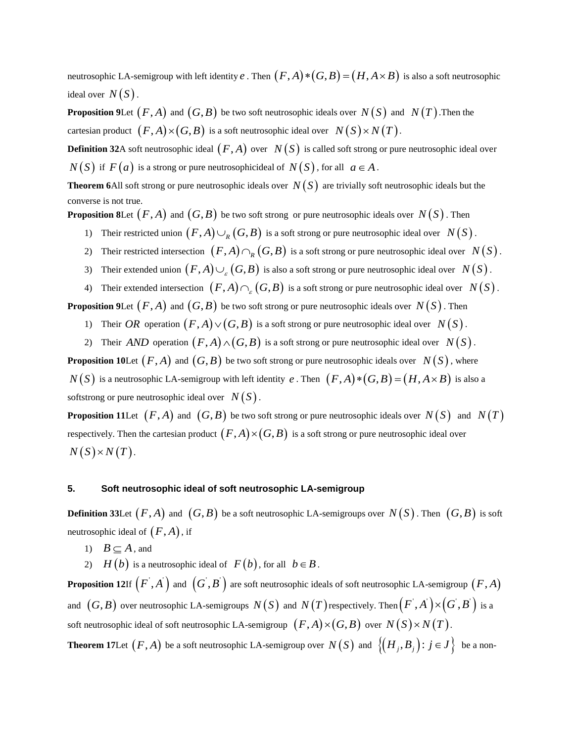neutrosophic LA-semigroup with left identity  $e$  . Then  $\big(F,A\big)*\big(G,B\big)\!=\!\big(H,A\times B\big)$  is also a soft neutrosophic ideal over  $N(S)$ .

**Proposition 9Let**  $(F, A)$  and  $(G, B)$  be two soft neutrosophic ideals over  $N(S)$  and  $N(T)$ . Then the cartesian product  $(F, A) \times (G, B)$  is a soft neutrosophic ideal over  $N(S) \times N(T)$ .

**Definition 32**A soft neutrosophic ideal  $(F,A)$  over  $\ N(S)$  is called soft strong or pure neutrosophic ideal over  $N(S)$  if  $F(a)$  is a strong or pure neutrosophicideal of  $N(S)$ , for all  $a \in A$ .

**Theorem 6**All soft strong or pure neutrosophic ideals over  $N(S)$  are trivially soft neutrosophic ideals but the converse is not true.

**Proposition 8Let**  $(F,A)$  and  $(G,B)$  be two soft strong  $\,$  or pure neutrosophic ideals over  $\,N(S)$  . Then

- 1) Their restricted union  $(F, A) \cup_R (G, B)$  is a soft strong or pure neutrosophic ideal over  $N(S)$ .
- 2) Their restricted intersection  $(F, A) \cap_R (G, B)$  is a soft strong or pure neutrosophic ideal over  $N(S)$ .
- 3) Their extended union  $(F, A) \cup_{g} (G, B)$  is also a soft strong or pure neutrosophic ideal over  $N(S)$ .
- 4) Their extended intersection  $(F, A) \cap_{\varepsilon} (G, B)$  is a soft strong or pure neutrosophic ideal over  $N(S)$ .

**Proposition 9Let**  $(F,A)$  and  $(G,B)$  be two soft strong or pure neutrosophic ideals over  $\,N(S)$  . Then

- 1) Their OR operation  $(F, A) \vee (G, B)$  is a soft strong or pure neutrosophic ideal over  $N(S)$ .
- 2) Their *AND* operation  $(F, A) \wedge (G, B)$  is a soft strong or pure neutrosophic ideal over  $N(S)$ .

**Proposition 10Let**  $(F,A)$  and  $(G,B)$  be two soft strong or pure neutrosophic ideals over  $N(S)$  , where

*N*(*S*) is a neutrosophic LA-semigroup with left identity *e*. Then  $(F,A)*(G,B)=(H,A\times B)$  is also a softstrong or pure neutrosophic ideal over  $N(S)$ .

**Proposition 11** Let  $(F, A)$  and  $(G, B)$  be two soft strong or pure neutrosophic ideals over  $N(S)$  and  $N(T)$ respectively. Then the cartesian product  $(F, A) \times (G, B)$  is a soft strong or pure neutrosophic ideal over  $N(S)$  ×  $N(T)$ .

# **5. Soft neutrosophic ideal of soft neutrosophic LA-semigroup**

**Definition 33Let**  $(F, A)$  and  $(G, B)$  be a soft neutrosophic LA-semigroups over  $N(S)$  . Then  $(G, B)$  is soft neutrosophic ideal of  $(F, A)$ , if

- 1)  $B \subseteq A$ , and
- 2)  $H(b)$  is a neutrosophic ideal of  $F(b)$ , for all  $b \in B$ .

**Proposition 12**If  $\left(F^{\cdot},A^{\cdot}\right)$  and  $\left(G^{\cdot},B^{\cdot}\right)$  are soft neutrosophic ideals of soft neutrosophic LA-semigroup  $\left(F,A\right)$ and  $(G, B)$  over neutrosophic LA-semigroups  $N(S)$  and  $N(T)$  respectively. Then  $(F^{'}, A^{'}) \times (G^{'}, B^{'})$  is a soft neutrosophic ideal of soft neutrosophic LA-semigroup  $(F, A) \times (G, B)$  over  $N(S) \times N(T)$ .

**Theorem 17**Let  $(F, A)$  be a soft neutrosophic LA-semigroup over  $N(S)$  and  $\left\{\!\left(H_{_j}, B_{_j}\right)\!:\, j\in J\right\}$  be a non-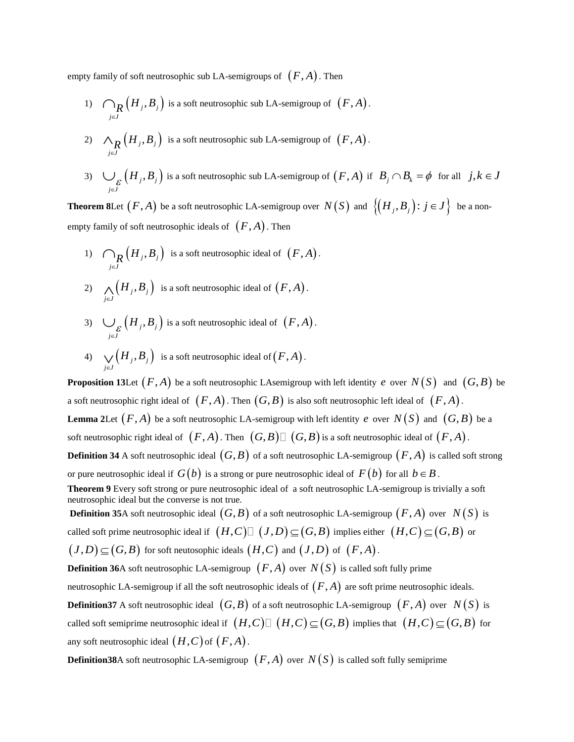empty family of soft neutrosophic sub LA-semigroups of  $(F, A)$  . Then

- 1)  $\bigcap_{\mathbf{R}} (H_j, B_j)$  $\bigcap_{j\in J} \left( H_j, B \right)$  $\bigcap_{\boldsymbol{R}}\big(H_{j},B_{j}\big)$  is a soft neutrosophic sub LA-semigroup of  $(F,A)$ .
- 2)  $\wedge_R (H_j, B_j)$  $\bigwedge_{j \in J} \left( H_j, B \right)$  $\bigwedge_{\boldsymbol{R}}\left(H_{j},B_{j}\right)$  is a soft neutrosophic sub LA-semigroup of  $(F,A)$ .
- 3)  $\bigcup_{\varepsilon} (H_j, B_j)$ *j J*  $\int_{\mathcal{E}}\Big(H_{_j},B\Big)$  $\bigcup_{\varepsilon} (H_j, B_j)$  is a soft neutrosophic sub LA-semigroup of  $(F, A)$  if  $B_j \cap B_k = \phi$  for all  $j, k \in J$

**Theorem 8**Let  $(F, A)$  be a soft neutrosophic LA-semigroup over  $N(S)$  and  $\left\{\!\left(H_{_j}, B_{_j}\right)\colon j \in J\right\}$  be a nonempty family of soft neutrosophic ideals of  $(F, A)$ . Then

- 1)  $\bigcap_{\mathbf{R}} (H_j, B_j)$  $\bigcap_{j\in J} \left( H_j, B \right)$  $\bigcap_R \left(H_j, B_j\right)$  is a soft neutrosophic ideal of  $(F, A)$ .
- 2)  $\bigwedge_{j \in J} (H_j, B_j)$  $H<sub>i</sub>, B$  $\bigwedge_{j\in J}\Bigl(H_{_j},B_{_j}\Bigr)$  is a soft neutrosophic ideal of  $\bigl(F,A\bigr)$ .
- 3)  $\bigcup_{\varepsilon} (H_j, B_j)$ *j J*  $\int_{\mathcal{E}}\Big(H_{_j},B\Big)$  $\bigcup_{\varepsilon} \left( H_{j}, B_{j} \right)$  is a soft neutrosophic ideal of  $(F, A)$ .
- 4)  $\bigvee_{j \in J} (H_j, B_j)$  $H<sub>i</sub>, B$  $\bigvee_{j\in J}\bigl(H_j,B_j\bigr)\;$  is a soft neutrosophic ideal of  $\bigl(F,A\bigr)$  .

**Proposition 13Let**  $(F, A)$  be a soft neutrosophic LAsemigroup with left identity e over  $N(S)$  and  $(G, B)$  be a soft neutrosophic right ideal of  $(F, A)$  . Then  $(G, B)$  is also soft neutrosophic left ideal of  $(F, A)$  . **Lemma 2Let**  $(F, A)$  be a soft neutrosophic LA-semigroup with left identity  $e$  over  $N(S)$  and  $(G, B)$  be a soft neutrosophic right ideal of  $(F, A)$ . Then  $(G, B) \square (G, B)$  is a soft neutrosophic ideal of  $(F, A)$ . **Definition 34** A soft neutrosophic ideal  $(G, B)$  of a soft neutrosophic LA-semigroup  $(F, A)$  is called soft strong or pure neutrosophic ideal if  $G(b)$  is a strong or pure neutrosophic ideal of  $F(b)$  for all  $b \in B$  . **Theorem 9** Every soft strong or pure neutrosophic ideal of a soft neutrosophic LA-semigroup is trivially a soft neutrosophic ideal but the converse is not true. **Definition 35**A soft neutrosophic ideal  $(G, B)$  of a soft neutrosophic LA-semigroup  $(F, A)$  over  $N(S)$  is called soft prime neutrosophic ideal if  $(H,C)$   $\Box$   $(J,D)$   $\subseteq$   $(G,B)$  implies either  $(H,C)$   $\subseteq$   $(G,B)$  or  $J(D) \subseteq (G, B)$  for soft neutosophic ideals  $(H, C)$  and  $(J, D)$  of  $(F, A)$ . **Definition 36**A soft neutrosophic LA-semigroup  $(F, A)$  over  $N(S)$  is called soft fully prime neutrosophic LA-semigroup if all the soft neutrosophic ideals of  $(F, A)$  are soft prime neutrosophic ideals. **Definition37** A soft neutrosophic ideal  $(G, B)$  of a soft neutrosophic LA-semigroup  $(F, A)$  over  $N(S)$  is called soft semiprime neutrosophic ideal if  $(H,C) \square (H,C) \subseteq (G,B)$  implies that  $(H,C) \subseteq (G,B)$  for any soft neutrosophic ideal  $(H, C)$  of  $(F, A)$ .

 ${\bf Definition 38}$ A soft neutrosophic LA-semigroup  $\, \big( F , A \big) \,$  over  $\, N\big( S \big) \,$  is called soft fully semiprime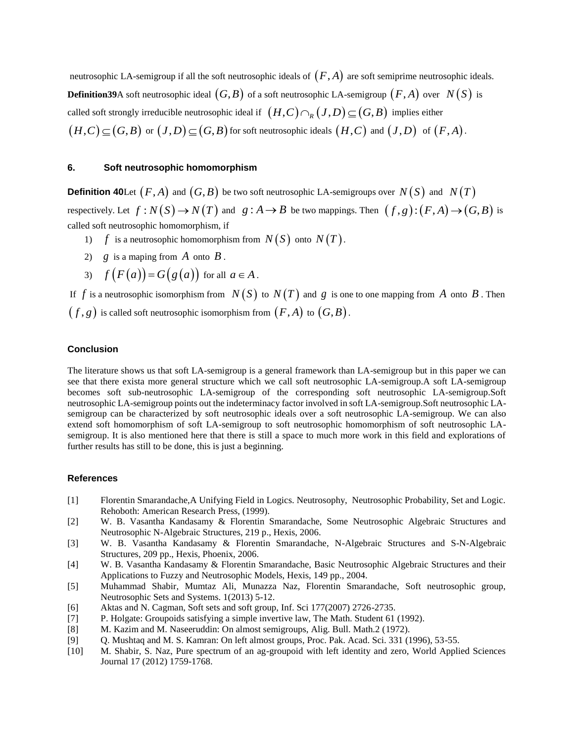neutrosophic LA-semigroup if all the soft neutrosophic ideals of  $(F,A)$  are soft semiprime neutrosophic ideals. **Definition39**A soft neutrosophic ideal  $(G, B)$  of a soft neutrosophic LA-semigroup  $(F, A)$  over  $N(S)$  is called soft strongly irreducible neutrosophic ideal if  $(H,C) \cap_R (J,D) \subseteq (G,B)$  implies either  $(H, C) \subseteq (G, B)$  or  $(J, D) \subseteq (G, B)$  for soft neutrosophic ideals  $(H, C)$  and  $(J, D)$  of  $(F, A)$ .

## **6. Soft neutrosophic homomorphism**

**Definition 40**Let  $(F, A)$  and  $(G, B)$  be two soft neutrosophic LA-semigroups over  $N(S)$  and  $N(T)$ respectively. Let  $f: N(S) \to N(T)$  and  $g: A \to B$  be two mappings. Then  $(f, g): (F, A) \to (G, B)$  is called soft neutrosophic homomorphism, if

- 1)  $f$  is a neutrosophic homomorphism from  $N(S)$  onto  $N(T)$ .
- 2)  $g$  is a maping from  $\overline{A}$  onto  $\overline{B}$ .
- 3)  $f(F(a)) = G(g(a))$  for all  $a \in A$ .

If  $f$  is a neutrosophic isomorphism from  $N(S)$  to  $N(T)$  and  $g$  is one to one mapping from  $A$  onto  $B$ . Then  $(f,g)$  is called soft neutrosophic isomorphism from  $(F,A)$  to  $(G,B)$ .

## **Conclusion**

The literature shows us that soft LA-semigroup is a general framework than LA-semigroup but in this paper we can see that there exista more general structure which we call soft neutrosophic LA-semigroup.A soft LA-semigroup becomes soft sub-neutrosophic LA-semigroup of the corresponding soft neutrosophic LA-semigroup.Soft neutrosophic LA-semigroup points out the indeterminacy factor involved in soft LA-semigroup.Soft neutrosophic LAsemigroup can be characterized by soft neutrosophic ideals over a soft neutrosophic LA-semigroup. We can also extend soft homomorphism of soft LA-semigroup to soft neutrosophic homomorphism of soft neutrosophic LAsemigroup. It is also mentioned here that there is still a space to much more work in this field and explorations of further results has still to be done, this is just a beginning.

# **References**

- [1] Florentin Smarandache,A Unifying Field in Logics. Neutrosophy, Neutrosophic Probability, Set and Logic. Rehoboth: American Research Press, (1999).
- [2] W. B. Vasantha Kandasamy & Florentin Smarandache, Some Neutrosophic Algebraic Structures and Neutrosophic N-Algebraic Structures, 219 p., Hexis, 2006.
- [3] W. B. Vasantha Kandasamy & Florentin Smarandache, N-Algebraic Structures and S-N-Algebraic Structures, 209 pp., Hexis, Phoenix, 2006.
- [4] W. B. Vasantha Kandasamy & Florentin Smarandache, Basic Neutrosophic Algebraic Structures and their Applications to Fuzzy and Neutrosophic Models, Hexis, 149 pp., 2004.
- [5] Muhammad Shabir, Mumtaz Ali, Munazza Naz, Florentin Smarandache, Soft neutrosophic group, Neutrosophic Sets and Systems. 1(2013) 5-12.
- [6] Aktas and N. Cagman, Soft sets and soft group, Inf. Sci 177(2007) 2726-2735.
- [7] P. Holgate: Groupoids satisfying a simple invertive law, The Math. Student 61 (1992).
- [8] M. Kazim and M. Naseeruddin: On almost semigroups, Alig. Bull. Math.2 (1972).
- [9] Q. Mushtaq and M. S. Kamran: On left almost groups, Proc. Pak. Acad. Sci. 331 (1996), 53-55.
- [10] M. Shabir, S. Naz, Pure spectrum of an ag-groupoid with left identity and zero, World Applied Sciences Journal 17 (2012) 1759-1768.